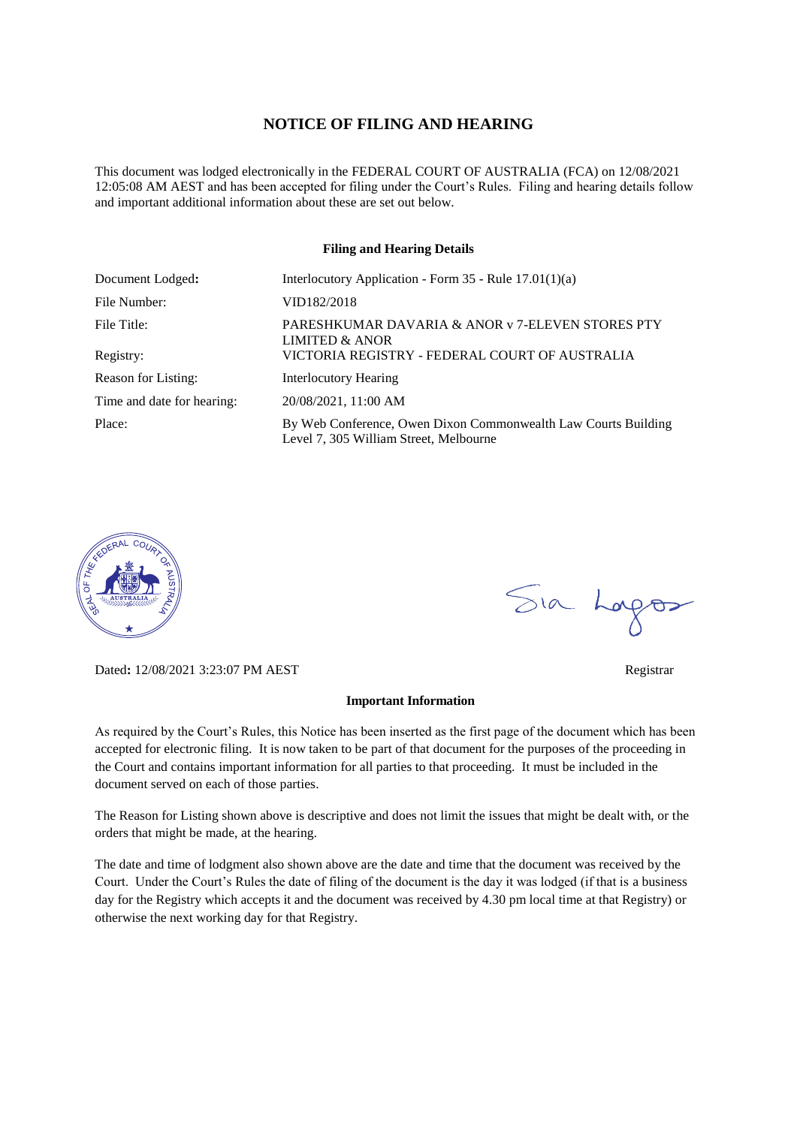#### **NOTICE OF FILING AND HEARING**

This document was lodged electronically in the FEDERAL COURT OF AUSTRALIA (FCA) on 12/08/2021 12:05:08 AM AEST and has been accepted for filing under the Court's Rules. Filing and hearing details follow and important additional information about these are set out below.

#### **Filing and Hearing Details**

| Document Lodged:           | Interlocutory Application - Form $35$ - Rule $17.01(1)(a)$                                               |  |
|----------------------------|----------------------------------------------------------------------------------------------------------|--|
| File Number:               | VID182/2018                                                                                              |  |
| File Title:                | PARESHKUMAR DAVARIA & ANOR v 7-ELEVEN STORES PTY<br>LIMITED & ANOR                                       |  |
| Registry:                  | VICTORIA REGISTRY - FEDERAL COURT OF AUSTRALIA                                                           |  |
| Reason for Listing:        | <b>Interlocutory Hearing</b>                                                                             |  |
| Time and date for hearing: | 20/08/2021, 11:00 AM                                                                                     |  |
| Place:                     | By Web Conference, Owen Dixon Commonwealth Law Courts Building<br>Level 7, 305 William Street, Melbourne |  |



Dated**:** 12/08/2021 3:23:07 PM AEST Registrar

#### **Important Information**

As required by the Court's Rules, this Notice has been inserted as the first page of the document which has been accepted for electronic filing. It is now taken to be part of that document for the purposes of the proceeding in the Court and contains important information for all parties to that proceeding. It must be included in the document served on each of those parties.

The Reason for Listing shown above is descriptive and does not limit the issues that might be dealt with, or the orders that might be made, at the hearing.

The date and time of lodgment also shown above are the date and time that the document was received by the Court. Under the Court's Rules the date of filing of the document is the day it was lodged (if that is a business day for the Registry which accepts it and the document was received by 4.30 pm local time at that Registry) or otherwise the next working day for that Registry.

Sia Logos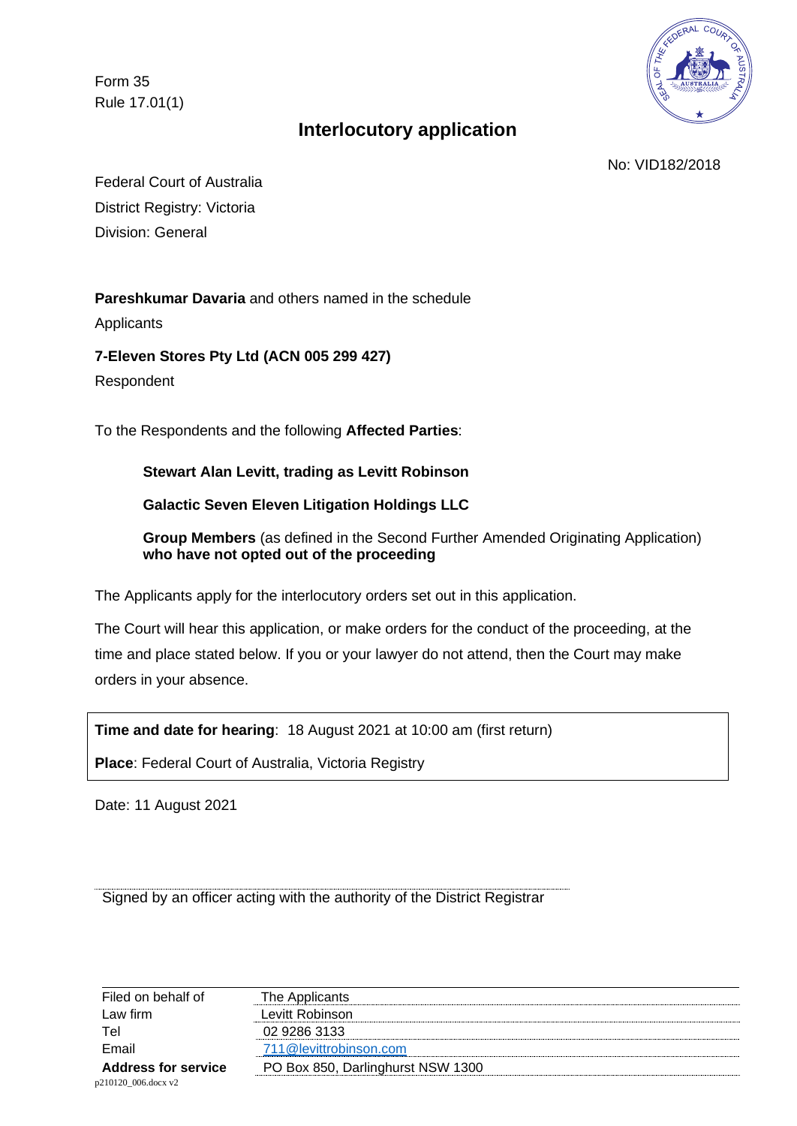Form 35 Rule 17.01(1)



# **Interlocutory application**

No: VID182/2018

Federal Court of Australia District Registry: Victoria Division: General

**Pareshkumar Davaria** and others named in the schedule

Applicants

**7-Eleven Stores Pty Ltd (ACN 005 299 427)** 

Respondent

To the Respondents and the following **Affected Parties**:

**Stewart Alan Levitt, trading as Levitt Robinson** 

**Galactic Seven Eleven Litigation Holdings LLC** 

**Group Members** (as defined in the Second Further Amended Originating Application) **who have not opted out of the proceeding** 

The Applicants apply for the interlocutory orders set out in this application.

The Court will hear this application, or make orders for the conduct of the proceeding, at the time and place stated below. If you or your lawyer do not attend, then the Court may make orders in your absence.

**Time and date for hearing**: 18 August 2021 at 10:00 am (first return)

**Place**: Federal Court of Australia, Victoria Registry

Date: 11 August 2021

Signed by an officer acting with the authority of the District Registrar

| Filed on behalf of         | The Applicants                    |
|----------------------------|-----------------------------------|
| Law firm                   | Levitt Robinson                   |
| Tel                        | 02 9286 3133                      |
| Email                      | 711@levittrobinson.com            |
| <b>Address for service</b> | PO Box 850, Darlinghurst NSW 1300 |
| p210120 006.docx v2        |                                   |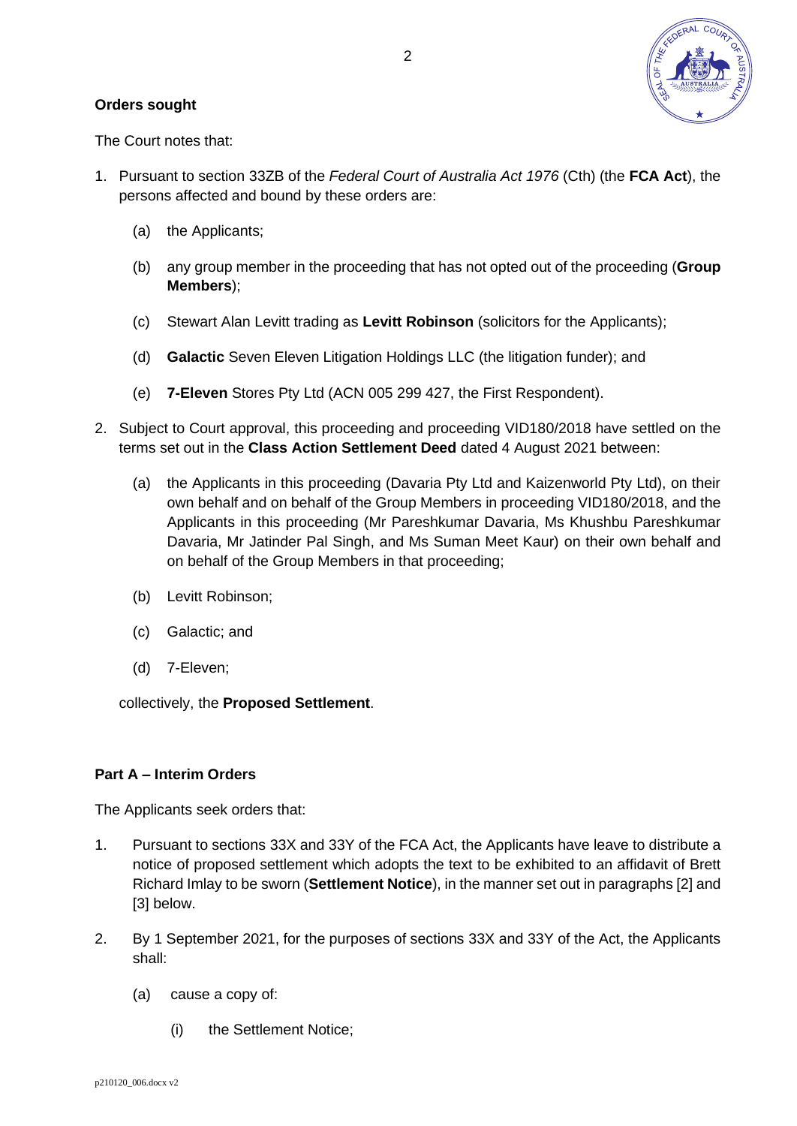

### **Orders sought**

The Court notes that:

- 1. Pursuant to section 33ZB of the *Federal Court of Australia Act 1976* (Cth) (the **FCA Act**), the persons affected and bound by these orders are:
	- (a) the Applicants;
	- (b) any group member in the proceeding that has not opted out of the proceeding (**Group Members**);
	- (c) Stewart Alan Levitt trading as **Levitt Robinson** (solicitors for the Applicants);
	- (d) **Galactic** Seven Eleven Litigation Holdings LLC (the litigation funder); and
	- (e) **7-Eleven** Stores Pty Ltd (ACN 005 299 427, the First Respondent).
- 2. Subject to Court approval, this proceeding and proceeding VID180/2018 have settled on the terms set out in the **Class Action Settlement Deed** dated 4 August 2021 between:
	- (a) the Applicants in this proceeding (Davaria Pty Ltd and Kaizenworld Pty Ltd), on their own behalf and on behalf of the Group Members in proceeding VID180/2018, and the Applicants in this proceeding (Mr Pareshkumar Davaria, Ms Khushbu Pareshkumar Davaria, Mr Jatinder Pal Singh, and Ms Suman Meet Kaur) on their own behalf and on behalf of the Group Members in that proceeding;
	- (b) Levitt Robinson;
	- (c) Galactic; and
	- (d) 7-Eleven;

collectively, the **Proposed Settlement**.

### **Part A – Interim Orders**

The Applicants seek orders that:

- 1. Pursuant to sections 33X and 33Y of the FCA Act, the Applicants have leave to distribute a notice of proposed settlement which adopts the text to be exhibited to an affidavit of Brett Richard Imlay to be sworn (**Settlement Notice**), in the manner set out in paragraphs [\[2\]](#page-2-0) and [\[3\]](#page-4-0) below.
- <span id="page-2-0"></span>2. By 1 September 2021, for the purposes of sections 33X and 33Y of the Act, the Applicants shall:
	- (a) cause a copy of:
		- (i) the Settlement Notice;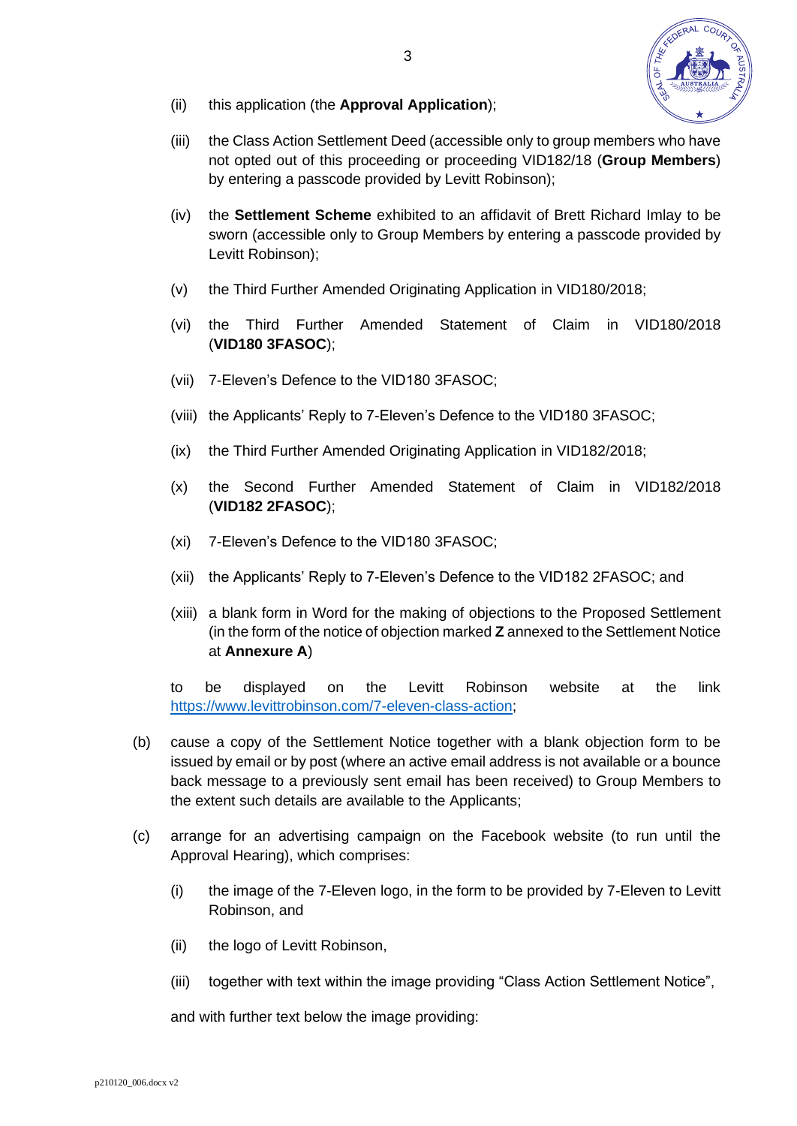

- (ii) this application (the **Approval Application**);
- (iii) the Class Action Settlement Deed (accessible only to group members who have not opted out of this proceeding or proceeding VID182/18 (**Group Members**) by entering a passcode provided by Levitt Robinson);
- (iv) the **Settlement Scheme** exhibited to an affidavit of Brett Richard Imlay to be sworn (accessible only to Group Members by entering a passcode provided by Levitt Robinson);
- (v) the Third Further Amended Originating Application in VID180/2018;
- (vi) the Third Further Amended Statement of Claim in VID180/2018 (**VID180 3FASOC**);
- (vii) 7-Eleven's Defence to the VID180 3FASOC;
- (viii) the Applicants' Reply to 7-Eleven's Defence to the VID180 3FASOC;
- (ix) the Third Further Amended Originating Application in VID182/2018;
- (x) the Second Further Amended Statement of Claim in VID182/2018 (**VID182 2FASOC**);
- (xi) 7-Eleven's Defence to the VID180 3FASOC;
- (xii) the Applicants' Reply to 7-Eleven's Defence to the VID182 2FASOC; and
- (xiii) a blank form in Word for the making of objections to the Proposed Settlement (in the form of the notice of objection marked **Z** annexed to the Settlement Notice at **Annexure A**)

to be displayed on the Levitt Robinson website at the link [https://www.levittrobinson.com/7-eleven-class-action;](https://www.levittrobinson.com/7-eleven-class-action)

- (b) cause a copy of the Settlement Notice together with a blank objection form to be issued by email or by post (where an active email address is not available or a bounce back message to a previously sent email has been received) to Group Members to the extent such details are available to the Applicants;
- (c) arrange for an advertising campaign on the Facebook website (to run until the Approval Hearing), which comprises:
	- (i) the image of the 7-Eleven logo, in the form to be provided by 7-Eleven to Levitt Robinson, and
	- (ii) the logo of Levitt Robinson,
	- (iii) together with text within the image providing "Class Action Settlement Notice",

and with further text below the image providing: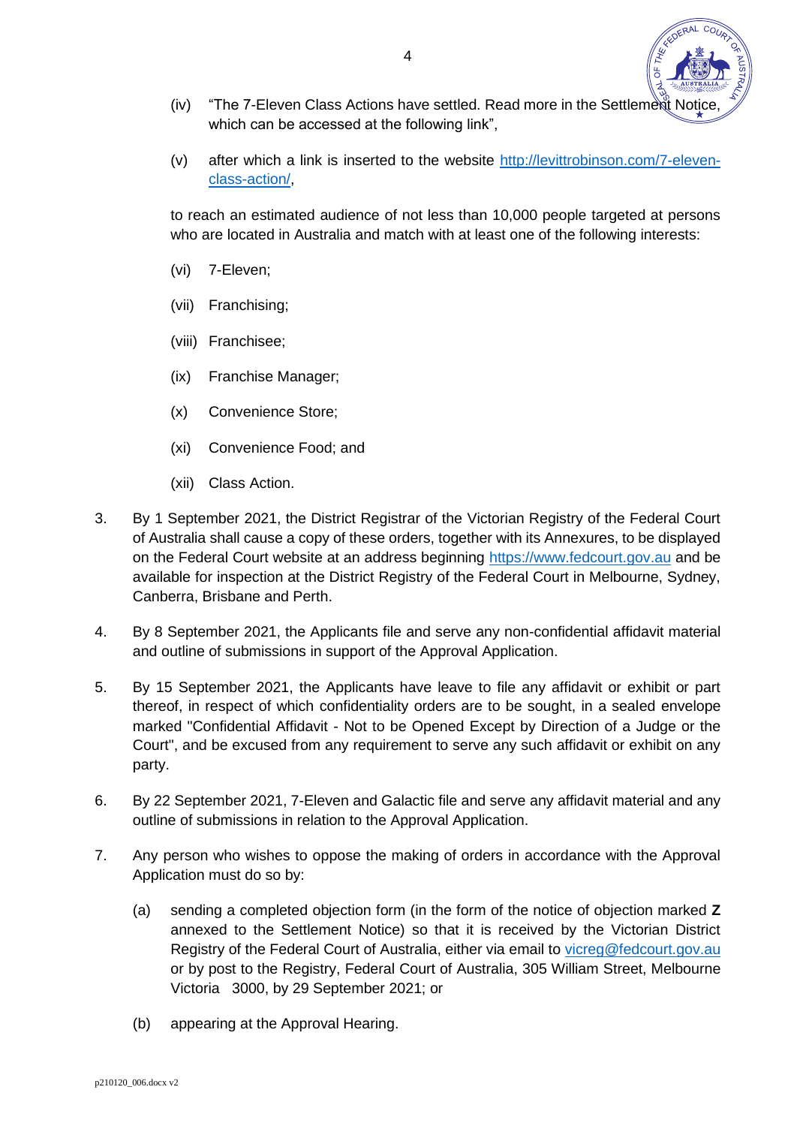- (iv) "The 7-Eleven Class Actions have settled. Read more in the Settlement Notice which can be accessed at the following link".
- (v) after which a link is inserted to the website [http://levittrobinson.com/7-eleven](http://levittrobinson.com/7-eleven-class-action/)[class-action/,](http://levittrobinson.com/7-eleven-class-action/)

to reach an estimated audience of not less than 10,000 people targeted at persons who are located in Australia and match with at least one of the following interests:

- (vi) 7-Eleven;
- (vii) Franchising;
- (viii) Franchisee;
- (ix) Franchise Manager;
- (x) Convenience Store;
- (xi) Convenience Food; and
- (xii) Class Action.
- <span id="page-4-0"></span>3. By 1 September 2021, the District Registrar of the Victorian Registry of the Federal Court of Australia shall cause a copy of these orders, together with its Annexures, to be displayed on the Federal Court website at an address beginning [https://www.fedcourt.gov.au](https://www.fedcourt.gov.au/) and be available for inspection at the District Registry of the Federal Court in Melbourne, Sydney, Canberra, Brisbane and Perth.
- 4. By 8 September 2021, the Applicants file and serve any non-confidential affidavit material and outline of submissions in support of the Approval Application.
- 5. By 15 September 2021, the Applicants have leave to file any affidavit or exhibit or part thereof, in respect of which confidentiality orders are to be sought, in a sealed envelope marked "Confidential Affidavit - Not to be Opened Except by Direction of a Judge or the Court", and be excused from any requirement to serve any such affidavit or exhibit on any party.
- 6. By 22 September 2021, 7-Eleven and Galactic file and serve any affidavit material and any outline of submissions in relation to the Approval Application.
- 7. Any person who wishes to oppose the making of orders in accordance with the Approval Application must do so by:
	- (a) sending a completed objection form (in the form of the notice of objection marked **Z** annexed to the Settlement Notice) so that it is received by the Victorian District Registry of the Federal Court of Australia, either via email to [vicreg@fedcourt.gov.au](mailto:vicreg@fedcourt.gov.au) or by post to the Registry, Federal Court of Australia, 305 William Street, Melbourne Victoria 3000, by 29 September 2021; or
	- (b) appearing at the Approval Hearing.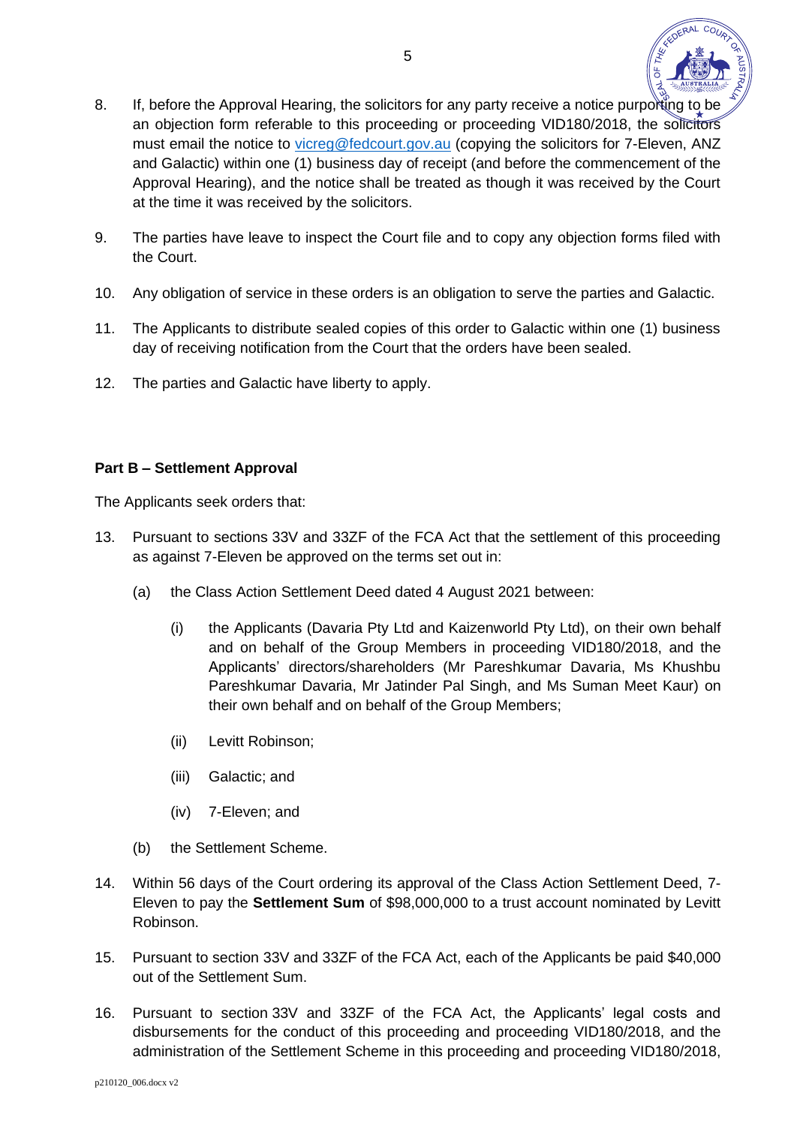

- 8. If, before the Approval Hearing, the solicitors for any party receive a notice purporting to be an objection form referable to this proceeding or proceeding VID180/2018, the solicitors must email the notice to [vicreg@fedcourt.gov.au](mailto:vicreg@fedcourt.gov.au) (copying the solicitors for 7-Eleven, ANZ and Galactic) within one (1) business day of receipt (and before the commencement of the Approval Hearing), and the notice shall be treated as though it was received by the Court at the time it was received by the solicitors.
- 9. The parties have leave to inspect the Court file and to copy any objection forms filed with the Court.
- 10. Any obligation of service in these orders is an obligation to serve the parties and Galactic.
- 11. The Applicants to distribute sealed copies of this order to Galactic within one (1) business day of receiving notification from the Court that the orders have been sealed.
- 12. The parties and Galactic have liberty to apply.

## **Part B – Settlement Approval**

The Applicants seek orders that:

- 13. Pursuant to sections 33V and 33ZF of the FCA Act that the settlement of this proceeding as against 7-Eleven be approved on the terms set out in:
	- (a) the Class Action Settlement Deed dated 4 August 2021 between:
		- (i) the Applicants (Davaria Pty Ltd and Kaizenworld Pty Ltd), on their own behalf and on behalf of the Group Members in proceeding VID180/2018, and the Applicants' directors/shareholders (Mr Pareshkumar Davaria, Ms Khushbu Pareshkumar Davaria, Mr Jatinder Pal Singh, and Ms Suman Meet Kaur) on their own behalf and on behalf of the Group Members;
		- (ii) Levitt Robinson;
		- (iii) Galactic; and
		- (iv) 7-Eleven; and
	- (b) the Settlement Scheme.
- 14. Within 56 days of the Court ordering its approval of the Class Action Settlement Deed, 7- Eleven to pay the **Settlement Sum** of \$98,000,000 to a trust account nominated by Levitt Robinson.
- 15. Pursuant to section 33V and 33ZF of the FCA Act, each of the Applicants be paid \$40,000 out of the Settlement Sum.
- 16. Pursuant to section 33V and 33ZF of the FCA Act, the Applicants' legal costs and disbursements for the conduct of this proceeding and proceeding VID180/2018, and the administration of the Settlement Scheme in this proceeding and proceeding VID180/2018,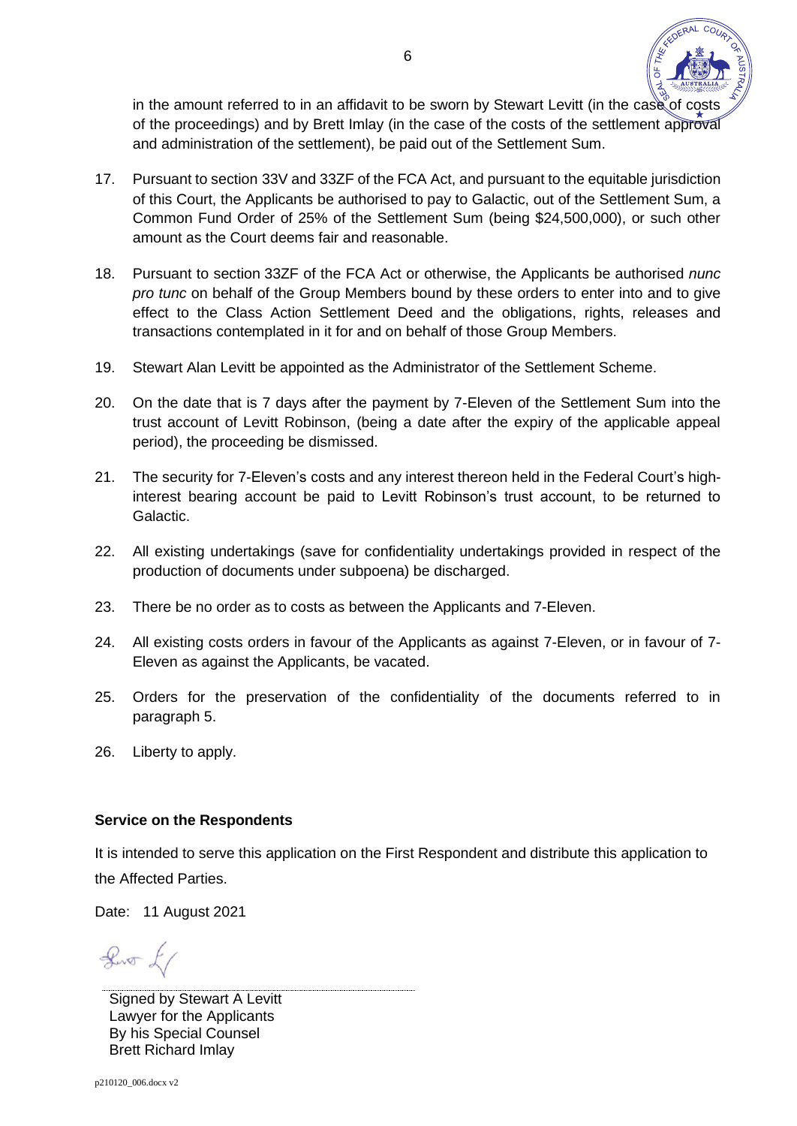

in the amount referred to in an affidavit to be sworn by Stewart Levitt (in the case of costs of the proceedings) and by Brett Imlay (in the case of the costs of the settlement approval and administration of the settlement), be paid out of the Settlement Sum.

- 17. Pursuant to section 33V and 33ZF of the FCA Act, and pursuant to the equitable jurisdiction of this Court, the Applicants be authorised to pay to Galactic, out of the Settlement Sum, a Common Fund Order of 25% of the Settlement Sum (being \$24,500,000), or such other amount as the Court deems fair and reasonable.
- 18. Pursuant to section 33ZF of the FCA Act or otherwise, the Applicants be authorised *nunc pro tunc* on behalf of the Group Members bound by these orders to enter into and to give effect to the Class Action Settlement Deed and the obligations, rights, releases and transactions contemplated in it for and on behalf of those Group Members.
- 19. Stewart Alan Levitt be appointed as the Administrator of the Settlement Scheme.
- 20. On the date that is 7 days after the payment by 7-Eleven of the Settlement Sum into the trust account of Levitt Robinson, (being a date after the expiry of the applicable appeal period), the proceeding be dismissed.
- 21. The security for 7-Eleven's costs and any interest thereon held in the Federal Court's highinterest bearing account be paid to Levitt Robinson's trust account, to be returned to Galactic.
- 22. All existing undertakings (save for confidentiality undertakings provided in respect of the production of documents under subpoena) be discharged.
- 23. There be no order as to costs as between the Applicants and 7-Eleven.
- 24. All existing costs orders in favour of the Applicants as against 7-Eleven, or in favour of 7- Eleven as against the Applicants, be vacated.
- 25. Orders for the preservation of the confidentiality of the documents referred to in paragraph 5.
- 26. Liberty to apply.

### **Service on the Respondents**

It is intended to serve this application on the First Respondent and distribute this application to the Affected Parties.

Date: 11 August 2021

 $\sqrt{2}$ 

Signed by Stewart A Levitt Lawyer for the Applicants By his Special Counsel Brett Richard Imlay